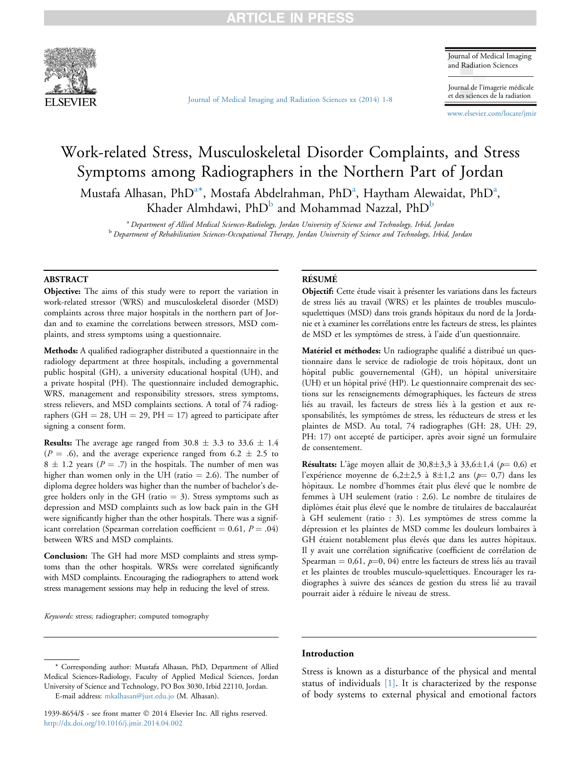

Journal of Medical Imaging and Radiation Sciences

Journal de l'imagerie médicale et des sciences de la radiation

[www.elsevier.com/locate/jmir](http://www.elsevier.com/locate/jmir)

# Work-related Stress, Musculoskeletal Disorder Complaints, and Stress Symptoms among Radiographers in the Northern Part of Jordan Mustafa Alhasan, PhD $^{\mathrm{a}\ast}$ , Mostafa Abdelrahman, PhD $^{\mathrm{a}}$ , Haytham Alewaidat, PhD $^{\mathrm{a}}$ , Khader Almhdawi,  $PhD^b$  and Mohammad Nazzal,  $PhD^b$

[Journal of Medical Imaging and Radiation Sciences xx \(2014\) 1-8](http://dx.doi.org/10.1016/j.jmir.2014.04.002)

<sup>a</sup> Department of Allied Medical Sciences-Radiology, Jordan University of Science and Technology, Irbid, Jordan <sup>b</sup> Department of Rehabilitation Sciences-Occupational Therapy, Jordan University of Science and Technology, Irbid, Jordan

### ABSTRACT

Objective: The aims of this study were to report the variation in work-related stressor (WRS) and musculoskeletal disorder (MSD) complaints across three major hospitals in the northern part of Jordan and to examine the correlations between stressors, MSD complaints, and stress symptoms using a questionnaire.

Methods: A qualified radiographer distributed a questionnaire in the radiology department at three hospitals, including a governmental public hospital (GH), a university educational hospital (UH), and a private hospital (PH). The questionnaire included demographic, WRS, management and responsibility stressors, stress symptoms, stress relievers, and MSD complaints sections. A total of 74 radiographers (GH  $=$  28, UH  $=$  29, PH  $=$  17) agreed to participate after signing a consent form.

**Results:** The average age ranged from  $30.8 \pm 3.3$  to  $33.6 \pm 1.4$  $(P = .6)$ , and the average experience ranged from  $6.2 \pm 2.5$  to  $8 \pm 1.2$  years ( $P = .7$ ) in the hospitals. The number of men was higher than women only in the UH (ratio  $= 2.6$ ). The number of diploma degree holders was higher than the number of bachelor's degree holders only in the GH (ratio  $=$  3). Stress symptoms such as depression and MSD complaints such as low back pain in the GH were significantly higher than the other hospitals. There was a significant correlation (Spearman correlation coefficient  $= 0.61, P = .04$ ) between WRS and MSD complaints.

Conclusion: The GH had more MSD complaints and stress symptoms than the other hospitals. WRSs were correlated significantly with MSD complaints. Encouraging the radiographers to attend work stress management sessions may help in reducing the level of stress.

Keywords: stress; radiographer; computed tomography

#### **RÉSUMÉ**

Objectif: Cette étude visait à présenter les variations dans les facteurs de stress liés au travail (WRS) et les plaintes de troubles musculosquelettiques (MSD) dans trois grands hôpitaux du nord de la Jordanie et a examiner les correlations entre les facteurs de stress, les plaintes de MSD et les symptômes de stress, à l'aide d'un questionnaire.

Matériel et méthodes: Un radiographe qualifié a distribué un questionnaire dans le service de radiologie de trois h^opitaux, dont un hôpital public gouvernemental (GH), un hôpital universitaire (UH) et un hôpital privé (HP). Le questionnaire comprenait des sections sur les renseignements démographiques, les facteurs de stress liés au travail, les facteurs de stress liés à la gestion et aux responsabilités, les symptômes de stress, les réducteurs de stress et les plaintes de MSD. Au total, 74 radiographes (GH: 28, UH: 29, PH: 17) ont accepté de participer, après avoir signé un formulaire de consentement.

**Résultats:** L'âge moyen allait de 30,8 $\pm$ 3,3 à 33,6 $\pm$ 1,4 ( $p$  = 0,6) et l'expérience moyenne de  $6,2\pm2,5$  à  $8\pm1,2$  ans  $(p=0,7)$  dans les hôpitaux. Le nombre d'hommes était plus élevé que le nombre de femmes a UH seulement (ratio : 2,6). Le nombre de titulaires de diplômes était plus élevé que le nombre de titulaires de baccalauréat à GH seulement (ratio : 3). Les symptômes de stress comme la dépression et les plaintes de MSD comme les douleurs lombaires à GH étaient notablement plus élevés que dans les autres hôpitaux. Il y avait une correlation significative (coefficient de correlation de Spearman =  $0.61$ ,  $p=0$ , 04) entre les facteurs de stress liés au travail et les plaintes de troubles musculo-squelettiques. Encourager les radiographes a suivre des seances de gestion du stress lie au travail pourrait aider à réduire le niveau de stress.

### Introduction

\* Corresponding author: Mustafa Alhasan, PhD, Department of Allied Medical Sciences-Radiology, Faculty of Applied Medical Sciences, Jordan University of Science and Technology, PO Box 3030, Irbid 22110, Jordan.

E-mail address: [mkalhasan@just.edu.jo](mailto:mkalhasan@just.edu.jo) (M. Alhasan).

Stress is known as a disturbance of the physical and mental status of individuals [\[1\]](#page-7-0). It is characterized by the response of body systems to external physical and emotional factors

<sup>1939-8654/\$ -</sup> see front matter 2014 Elsevier Inc. All rights reserved. <http://dx.doi.org/10.1016/j.jmir.2014.04.002>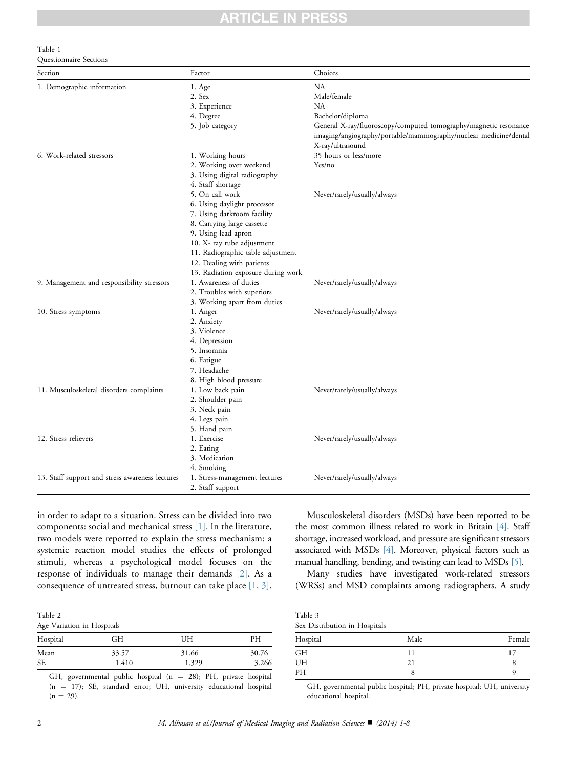#### <span id="page-1-0"></span>Table 1 Questionnaire Sections

| Section                                         | Factor                                                                                               | Choices                                                                                                                                                  |
|-------------------------------------------------|------------------------------------------------------------------------------------------------------|----------------------------------------------------------------------------------------------------------------------------------------------------------|
| 1. Demographic information                      | 1. Age                                                                                               | NА                                                                                                                                                       |
|                                                 | 2. Sex                                                                                               | Male/female                                                                                                                                              |
|                                                 | 3. Experience                                                                                        | <b>NA</b>                                                                                                                                                |
|                                                 | 4. Degree                                                                                            | Bachelor/diploma                                                                                                                                         |
|                                                 | 5. Job category                                                                                      | General X-ray/fluoroscopy/computed tomography/magnetic resonance<br>imaging/angiography/portable/mammography/nuclear medicine/dental<br>X-ray/ultrasound |
| 6. Work-related stressors                       | 1. Working hours                                                                                     | 35 hours or less/more                                                                                                                                    |
|                                                 | 2. Working over weekend<br>3. Using digital radiography<br>4. Staff shortage                         | Yes/no                                                                                                                                                   |
|                                                 | 5. On call work                                                                                      | Never/rarely/usually/always                                                                                                                              |
|                                                 | 6. Using daylight processor<br>7. Using darkroom facility<br>8. Carrying large cassette              |                                                                                                                                                          |
|                                                 | 9. Using lead apron<br>10. X- ray tube adjustment                                                    |                                                                                                                                                          |
|                                                 | 11. Radiographic table adjustment<br>12. Dealing with patients<br>13. Radiation exposure during work |                                                                                                                                                          |
| 9. Management and responsibility stressors      | 1. Awareness of duties                                                                               | Never/rarely/usually/always                                                                                                                              |
|                                                 | 2. Troubles with superiors                                                                           |                                                                                                                                                          |
|                                                 | 3. Working apart from duties                                                                         |                                                                                                                                                          |
| 10. Stress symptoms                             | 1. Anger<br>2. Anxiety                                                                               | Never/rarely/usually/always                                                                                                                              |
|                                                 | 3. Violence                                                                                          |                                                                                                                                                          |
|                                                 | 4. Depression                                                                                        |                                                                                                                                                          |
|                                                 | 5. Insomnia                                                                                          |                                                                                                                                                          |
|                                                 | 6. Fatigue                                                                                           |                                                                                                                                                          |
|                                                 | 7. Headache                                                                                          |                                                                                                                                                          |
|                                                 | 8. High blood pressure                                                                               |                                                                                                                                                          |
| 11. Musculoskeletal disorders complaints        | 1. Low back pain                                                                                     | Never/rarely/usually/always                                                                                                                              |
|                                                 | 2. Shoulder pain                                                                                     |                                                                                                                                                          |
|                                                 | 3. Neck pain                                                                                         |                                                                                                                                                          |
|                                                 | 4. Legs pain                                                                                         |                                                                                                                                                          |
|                                                 | 5. Hand pain                                                                                         |                                                                                                                                                          |
| 12. Stress relievers                            | 1. Exercise                                                                                          | Never/rarely/usually/always                                                                                                                              |
|                                                 | 2. Eating<br>3. Medication                                                                           |                                                                                                                                                          |
|                                                 | 4. Smoking                                                                                           |                                                                                                                                                          |
| 13. Staff support and stress awareness lectures | 1. Stress-management lectures<br>2. Staff support                                                    | Never/rarely/usually/always                                                                                                                              |

in order to adapt to a situation. Stress can be divided into two components: social and mechanical stress [\[1\].](#page-7-0) In the literature, two models were reported to explain the stress mechanism: a systemic reaction model studies the effects of prolonged stimuli, whereas a psychological model focuses on the response of individuals to manage their demands [\[2\].](#page-7-0) As a consequence of untreated stress, burnout can take place [\[1, 3\].](#page-7-0)

Table 2 Age Variation in Hospitals

| Hospital  | GН    | UH    | PН    |  |
|-----------|-------|-------|-------|--|
| Mean      | 33.57 | 31.66 | 30.76 |  |
| <b>SE</b> | 1.410 | 1.329 | 3.266 |  |

GH, governmental public hospital ( $n = 28$ ); PH, private hospital  $(n = 17)$ ; SE, standard error; UH, university educational hospital  $(n = 29)$ .

Musculoskeletal disorders (MSDs) have been reported to be the most common illness related to work in Britain [\[4\].](#page-7-0) Staff shortage, increased workload, and pressure are significant stressors associated with MSDs [\[4\]](#page-7-0). Moreover, physical factors such as manual handling, bending, and twisting can lead to MSDs [\[5\].](#page-7-0)

Many studies have investigated work-related stressors (WRSs) and MSD complaints among radiographers. A study

| Table 3                       |  |
|-------------------------------|--|
| Sex Distribution in Hospitals |  |

| Hospital | Male | Female |
|----------|------|--------|
| GH       | 11   |        |
| UH       | 21   | O      |
| PH       | O    |        |

GH, governmental public hospital; PH, private hospital; UH, university educational hospital.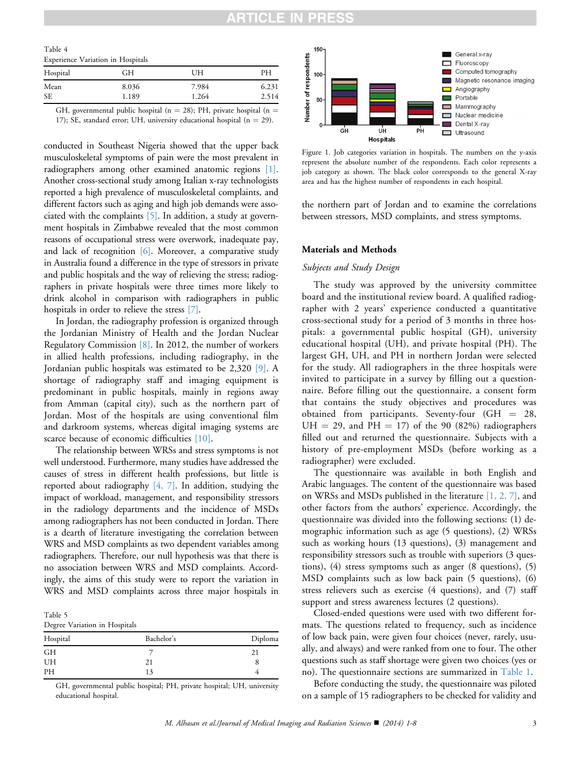## N PRE

| Experience Variation in Hospitals |    |    |  |
|-----------------------------------|----|----|--|
| Hospital                          | GН | UH |  |

<span id="page-2-0"></span> $T<sub>11</sub>$ 

Mean 8.036 7.984 6.231 SE 1.189 1.264 2.514 GH, governmental public hospital ( $n = 28$ ); PH, private hospital ( $n =$ 

17); SE, standard error; UH, university educational hospital ( $n = 29$ ).

conducted in Southeast Nigeria showed that the upper back musculoskeletal symptoms of pain were the most prevalent in radiographers among other examined anatomic regions [\[1\]](#page-7-0). Another cross-sectional study among Italian x-ray technologists reported a high prevalence of musculoskeletal complaints, and different factors such as aging and high job demands were associated with the complaints [\[5\].](#page-7-0) In addition, a study at government hospitals in Zimbabwe revealed that the most common reasons of occupational stress were overwork, inadequate pay, and lack of recognition [\[6\].](#page-7-0) Moreover, a comparative study in Australia found a difference in the type of stressors in private and public hospitals and the way of relieving the stress; radiographers in private hospitals were three times more likely to drink alcohol in comparison with radiographers in public hospitals in order to relieve the stress [\[7\]](#page-7-0).

In Jordan, the radiography profession is organized through the Jordanian Ministry of Health and the Jordan Nuclear Regulatory Commission [\[8\]](#page-7-0). In 2012, the number of workers in allied health professions, including radiography, in the Jordanian public hospitals was estimated to be 2,320 [\[9\].](#page-7-0) A shortage of radiography staff and imaging equipment is predominant in public hospitals, mainly in regions away from Amman (capital city), such as the northern part of Jordan. Most of the hospitals are using conventional film and darkroom systems, whereas digital imaging systems are scarce because of economic difficulties [\[10\].](#page-7-0)

The relationship between WRSs and stress symptoms is not well understood. Furthermore, many studies have addressed the causes of stress in different health professions, but little is reported about radiography  $[4, 7]$ . In addition, studying the impact of workload, management, and responsibility stressors in the radiology departments and the incidence of MSDs among radiographers has not been conducted in Jordan. There is a dearth of literature investigating the correlation between WRS and MSD complaints as two dependent variables among radiographers. Therefore, our null hypothesis was that there is no association between WRS and MSD complaints. Accordingly, the aims of this study were to report the variation in WRS and MSD complaints across three major hospitals in

Table 5 Degree Variation in Hospitals

| $\check{~}$ |            |         |
|-------------|------------|---------|
| Hospital    | Bachelor's | Diploma |
| <b>GH</b>   |            |         |
| UH          |            | 8       |
| PH          | 13         |         |
|             |            |         |

GH, governmental public hospital; PH, private hospital; UH, university educational hospital.



Figure 1. Job categories variation in hospitals. The numbers on the y-axis represent the absolute number of the respondents. Each color represents a job category as shown. The black color corresponds to the general X-ray area and has the highest number of respondents in each hospital.

the northern part of Jordan and to examine the correlations between stressors, MSD complaints, and stress symptoms.

#### Materials and Methods

#### Subjects and Study Design

The study was approved by the university committee board and the institutional review board. A qualified radiographer with 2 years' experience conducted a quantitative cross-sectional study for a period of 3 months in three hospitals: a governmental public hospital (GH), university educational hospital (UH), and private hospital (PH). The largest GH, UH, and PH in northern Jordan were selected for the study. All radiographers in the three hospitals were invited to participate in a survey by filling out a questionnaire. Before filling out the questionnaire, a consent form that contains the study objectives and procedures was obtained from participants. Seventy-four  $(GH = 28,$  $UH = 29$ , and PH = 17) of the 90 (82%) radiographers filled out and returned the questionnaire. Subjects with a history of pre-employment MSDs (before working as a radiographer) were excluded.

The questionnaire was available in both English and Arabic languages. The content of the questionnaire was based on WRSs and MSDs published in the literature [\[1, 2, 7\]](#page-7-0), and other factors from the authors' experience. Accordingly, the questionnaire was divided into the following sections: (1) demographic information such as age (5 questions), (2) WRSs such as working hours (13 questions), (3) management and responsibility stressors such as trouble with superiors (3 questions), (4) stress symptoms such as anger (8 questions), (5) MSD complaints such as low back pain (5 questions), (6) stress relievers such as exercise (4 questions), and (7) staff support and stress awareness lectures (2 questions).

Closed-ended questions were used with two different formats. The questions related to frequency, such as incidence of low back pain, were given four choices (never, rarely, usually, and always) and were ranked from one to four. The other questions such as staff shortage were given two choices (yes or no). The questionnaire sections are summarized in [Table 1](#page-1-0).

Before conducting the study, the questionnaire was piloted on a sample of 15 radiographers to be checked for validity and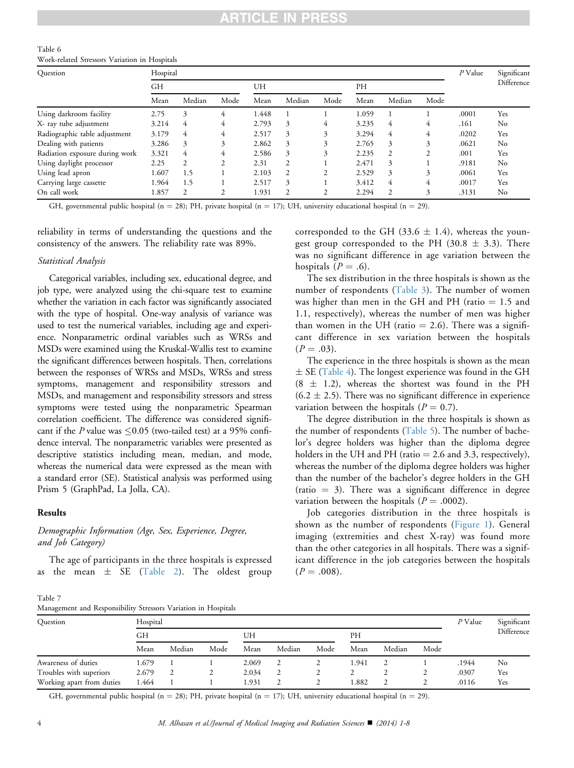#### <span id="page-3-0"></span>Table 6 Work-related Stressors Variation in Hospitals

| Question                       | Hospital  |                |      |       |        |      |       |        |               | $P$ Value | Significant |
|--------------------------------|-----------|----------------|------|-------|--------|------|-------|--------|---------------|-----------|-------------|
|                                | <b>GH</b> |                |      | UH    |        |      | PH    |        |               |           | Difference  |
|                                | Mean      | Median         | Mode | Mean  | Median | Mode | Mean  | Median | Mode          |           |             |
| Using darkroom facility        | 2.75      | 3              | 4    | 1.448 |        |      | 1.059 |        |               | .0001     | Yes         |
| X- ray tube adjustment         | 3.214     | 4              | 4    | 2.793 | 3      | 4    | 3.235 | 4      | 4             | .161      | No          |
| Radiographic table adjustment  | 3.179     | 4              | 4    | 2.517 | 3      | 3    | 3.294 | 4      | 4             | .0202     | Yes         |
| Dealing with patients          | 3.286     | 3              | 3    | 2.862 | 3      | 3    | 2.765 | 3      | 3             | .0621     | No          |
| Radiation exposure during work | 3.321     | 4              | 4    | 2.586 | 3      | 3    | 2.235 | 2      | $\mathcal{D}$ | .001      | Yes         |
| Using daylight processor       | 2.25      | 2              | 2    | 2.31  | 2      |      | 2.471 | 3      |               | .9181     | No          |
| Using lead apron               | L.607     | 1.5            |      | 2.103 | 2      | 2    | 2.529 | 3      | 3             | .0061     | Yes         |
| Carrying large cassette        | l.964     | 1.5            |      | 2.517 | 3      |      | 3.412 | 4      | 4             | .0017     | Yes         |
| On call work                   | 1.857     | $\overline{c}$ | 2    | 1.931 | 2      | 2    | 2.294 | 2      | 3             | .3131     | No          |

GH, governmental public hospital (n = 28); PH, private hospital (n = 17); UH, university educational hospital (n = 29).

reliability in terms of understanding the questions and the consistency of the answers. The reliability rate was 89%.

#### Statistical Analysis

Categorical variables, including sex, educational degree, and job type, were analyzed using the chi-square test to examine whether the variation in each factor was significantly associated with the type of hospital. One-way analysis of variance was used to test the numerical variables, including age and experience. Nonparametric ordinal variables such as WRSs and MSDs were examined using the Kruskal-Wallis test to examine the significant differences between hospitals. Then, correlations between the responses of WRSs and MSDs, WRSs and stress symptoms, management and responsibility stressors and MSDs, and management and responsibility stressors and stress symptoms were tested using the nonparametric Spearman correlation coefficient. The difference was considered significant if the P value was  $\leq 0.05$  (two-tailed test) at a 95% confidence interval. The nonparametric variables were presented as descriptive statistics including mean, median, and mode, whereas the numerical data were expressed as the mean with a standard error (SE). Statistical analysis was performed using Prism 5 (GraphPad, La Jolla, CA).

### Results

### Demographic Information (Age, Sex, Experience, Degree, and Job Category)

The age of participants in the three hospitals is expressed as the mean  $\pm$  SE [\(Table 2\)](#page-1-0). The oldest group

| corresponded to the GH (33.6 $\pm$ 1.4), whereas the youn- |
|------------------------------------------------------------|
| gest group corresponded to the PH (30.8 $\pm$ 3.3). There  |
| was no significant difference in age variation between the |
| hospitals $(P=.6)$ .                                       |
|                                                            |

The sex distribution in the three hospitals is shown as the number of respondents ([Table 3\)](#page-1-0). The number of women was higher than men in the GH and PH (ratio  $= 1.5$  and 1.1, respectively), whereas the number of men was higher than women in the UH (ratio  $= 2.6$ ). There was a significant difference in sex variation between the hospitals  $(P = .03)$ .

The experience in the three hospitals is shown as the mean  $\pm$  SE [\(Table 4\)](#page-2-0). The longest experience was found in the GH  $(8 \pm 1.2)$ , whereas the shortest was found in the PH  $(6.2 \pm 2.5)$ . There was no significant difference in experience variation between the hospitals ( $P = 0.7$ ).

The degree distribution in the three hospitals is shown as the number of respondents ([Table 5](#page-2-0)). The number of bachelor's degree holders was higher than the diploma degree holders in the UH and PH (ratio  $= 2.6$  and 3.3, respectively), whereas the number of the diploma degree holders was higher than the number of the bachelor's degree holders in the GH (ratio  $= 3$ ). There was a significant difference in degree variation between the hospitals ( $P = .0002$ ).

Job categories distribution in the three hospitals is shown as the number of respondents [\(Figure 1\)](#page-2-0). General imaging (extremities and chest X-ray) was found more than the other categories in all hospitals. There was a significant difference in the job categories between the hospitals  $(P = .008).$ 

Table 7 Management and Responsibility Stressors Variation in Hospitals

| Question                  | Hospital |        |      |       |        |      |       |        |      |       | Significant |
|---------------------------|----------|--------|------|-------|--------|------|-------|--------|------|-------|-------------|
|                           | GH       |        |      | UH    |        |      | PΗ    |        |      |       | Difference  |
|                           | Mean     | Median | Mode | Mean  | Median | Mode | Mean  | Median | Mode |       |             |
| Awareness of duties       | 1.679    |        |      | 2.069 |        |      | 1.941 |        |      | .1944 | No          |
| Troubles with superiors   | 2.679    |        | ∠    | 2.034 | 2      | ∠    |       |        |      | .0307 | Yes         |
| Working apart from duties | 1.464    |        |      | 1.931 |        |      | 1.882 |        |      | .0116 | Yes         |

GH, governmental public hospital (n = 28); PH, private hospital (n = 17); UH, university educational hospital (n = 29).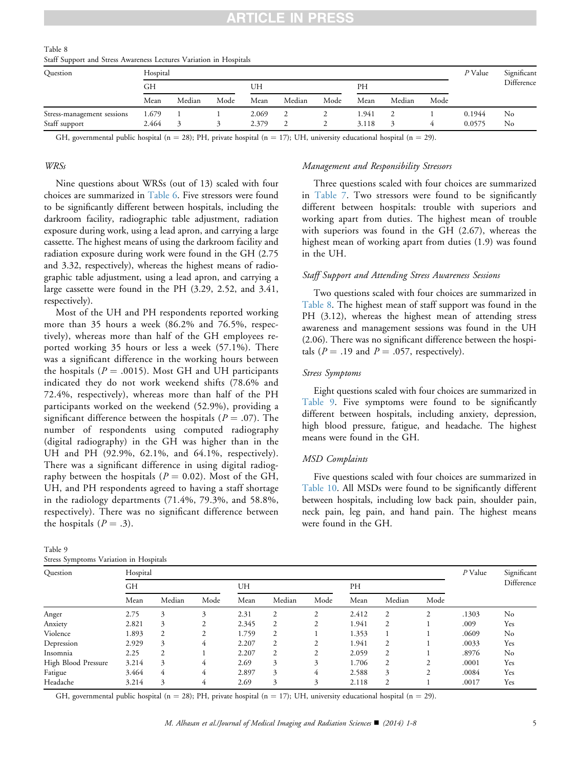| Table 8                                                            |  |  |  |
|--------------------------------------------------------------------|--|--|--|
| Staff Support and Stress Awareness Lectures Variation in Hospitals |  |  |  |

| Question                   | Hospital |        |      | P Value | Significant<br>Difference |      |       |        |      |        |    |
|----------------------------|----------|--------|------|---------|---------------------------|------|-------|--------|------|--------|----|
|                            | GН       |        |      |         |                           | UH   |       |        | PН   |        |    |
|                            | Mean     | Median | Mode | Mean    | Median                    | Mode | Mean  | Median | Mode |        |    |
| Stress-management sessions | 1.679    |        |      | 2.069   |                           | ∸    | 1.941 |        |      | 0.1944 | No |
| Staff support              | 2.464    |        |      | 2.379   |                           |      | 3.118 |        | 4    | 0.0575 | No |

GH, governmental public hospital (n = 28); PH, private hospital (n = 17); UH, university educational hospital (n = 29).

#### WRSs

Nine questions about WRSs (out of 13) scaled with four choices are summarized in [Table 6.](#page-3-0) Five stressors were found to be significantly different between hospitals, including the darkroom facility, radiographic table adjustment, radiation exposure during work, using a lead apron, and carrying a large cassette. The highest means of using the darkroom facility and radiation exposure during work were found in the GH (2.75 and 3.32, respectively), whereas the highest means of radiographic table adjustment, using a lead apron, and carrying a large cassette were found in the PH (3.29, 2.52, and 3.41, respectively).

Most of the UH and PH respondents reported working more than 35 hours a week (86.2% and 76.5%, respectively), whereas more than half of the GH employees reported working 35 hours or less a week (57.1%). There was a significant difference in the working hours between the hospitals ( $P = .0015$ ). Most GH and UH participants indicated they do not work weekend shifts (78.6% and 72.4%, respectively), whereas more than half of the PH participants worked on the weekend (52.9%), providing a significant difference between the hospitals ( $P = .07$ ). The number of respondents using computed radiography (digital radiography) in the GH was higher than in the UH and PH (92.9%, 62.1%, and 64.1%, respectively). There was a significant difference in using digital radiography between the hospitals ( $P = 0.02$ ). Most of the GH, UH, and PH respondents agreed to having a staff shortage in the radiology departments (71.4%, 79.3%, and 58.8%, respectively). There was no significant difference between the hospitals  $(P = .3)$ .

| Table 9 |                                        |  |  |
|---------|----------------------------------------|--|--|
|         | Stress Symptoms Variation in Hospitals |  |  |

### Management and Responsibility Stressors

Three questions scaled with four choices are summarized in [Table 7](#page-3-0). Two stressors were found to be significantly different between hospitals: trouble with superiors and working apart from duties. The highest mean of trouble with superiors was found in the GH (2.67), whereas the highest mean of working apart from duties (1.9) was found in the UH.

#### Staff Support and Attending Stress Awareness Sessions

Two questions scaled with four choices are summarized in Table 8. The highest mean of staff support was found in the PH (3.12), whereas the highest mean of attending stress awareness and management sessions was found in the UH (2.06). There was no significant difference between the hospitals ( $P = .19$  and  $P = .057$ , respectively).

#### Stress Symptoms

Eight questions scaled with four choices are summarized in Table 9. Five symptoms were found to be significantly different between hospitals, including anxiety, depression, high blood pressure, fatigue, and headache. The highest means were found in the GH.

#### MSD Complaints

Five questions scaled with four choices are summarized in [Table 10](#page-5-0). All MSDs were found to be significantly different between hospitals, including low back pain, shoulder pain, neck pain, leg pain, and hand pain. The highest means were found in the GH.

| Question            | Hospital |        |      |       |        |      |       |                |                |           |                           |
|---------------------|----------|--------|------|-------|--------|------|-------|----------------|----------------|-----------|---------------------------|
|                     | GH       |        |      | UH    |        |      |       |                |                | $P$ Value | Significant<br>Difference |
|                     |          |        |      |       |        |      | PH    |                |                |           |                           |
|                     | Mean     | Median | Mode | Mean  | Median | Mode | Mean  | Median         | Mode           |           |                           |
| Anger               | 2.75     | 3      | 3    | 2.31  | 2      | 2    | 2.412 | $\overline{2}$ | $\overline{c}$ | .1303     | No                        |
| Anxiety             | 2.821    | 3      | 2    | 2.345 | 2      | 2    | 1.941 | 2              |                | .009      | Yes                       |
| Violence            | 1.893    | 2      | 2    | 1.759 | 2      |      | 1.353 |                |                | .0609     | No                        |
| Depression          | 2.929    | 3      | 4    | 2.207 | 2      | 2    | 1.941 | 2              |                | .0033     | Yes                       |
| Insomnia            | 2.25     | 2      |      | 2.207 | 2      | 2    | 2.059 | 2              |                | .8976     | No                        |
| High Blood Pressure | 3.214    | 3      | 4    | 2.69  | 3      | 3    | 1.706 | 2              | 2              | .0001     | Yes                       |
| Fatigue             | 3.464    | 4      | 4    | 2.897 | 3      | 4    | 2.588 | 3              | 2              | .0084     | Yes                       |
| Headache            | 3.214    | 3      | 4    | 2.69  | 3      | 3    | 2.118 | 2              |                | .0017     | Yes                       |

GH, governmental public hospital ( $n = 28$ ); PH, private hospital ( $n = 17$ ); UH, university educational hospital ( $n = 29$ ).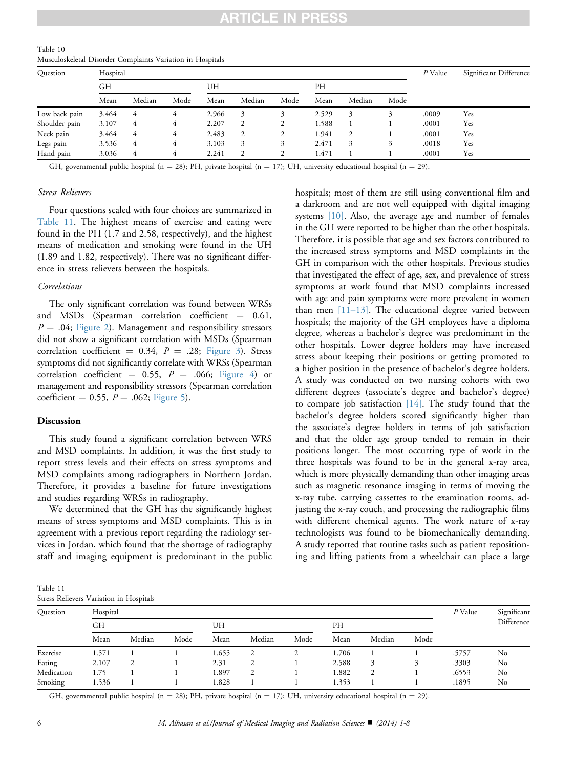<span id="page-5-0"></span>

| Table 10                                                   |  |  |  |
|------------------------------------------------------------|--|--|--|
| Musculoskeletal Disorder Complaints Variation in Hospitals |  |  |  |

| Ouestion      | Hospital |        |      |       |        |      |       |        |      |       | Significant Difference |  |
|---------------|----------|--------|------|-------|--------|------|-------|--------|------|-------|------------------------|--|
|               | GH       |        |      | UH    |        |      | PH    |        |      |       |                        |  |
|               | Mean     | Median | Mode | Mean  | Median | Mode | Mean  | Median | Mode |       |                        |  |
| Low back pain | 3.464    | 4      |      | 2.966 | 3      |      | 2.529 | 3      |      | .0009 | Yes                    |  |
| Shoulder pain | 3.107    | 4      | 4    | 2.207 |        | 2    | 1.588 |        |      | .0001 | Yes                    |  |
| Neck pain     | 3.464    | 4      | 4    | 2.483 |        |      | 1.941 | 2      |      | .0001 | Yes                    |  |
| Legs pain     | 3.536    | 4      | 4    | 3.103 | 3      | 3    | 2.471 | 3      | 3    | .0018 | Yes                    |  |
| Hand pain     | 3.036    | 4      | 4    | 2.241 |        |      | 1.471 |        |      | .0001 | Yes                    |  |

GH, governmental public hospital (n = 28); PH, private hospital (n = 17); UH, university educational hospital (n = 29).

#### Stress Relievers

Four questions scaled with four choices are summarized in Table 11. The highest means of exercise and eating were found in the PH (1.7 and 2.58, respectively), and the highest means of medication and smoking were found in the UH (1.89 and 1.82, respectively). There was no significant difference in stress relievers between the hospitals.

#### Correlations

The only significant correlation was found between WRSs and MSDs (Spearman correlation coefficient  $= 0.61$ ,  $P = .04$ ; [Figure 2\)](#page-6-0). Management and responsibility stressors did not show a significant correlation with MSDs (Spearman correlation coefficient = 0.34,  $P = .28$ ; [Figure 3](#page-6-0)). Stress symptoms did not significantly correlate with WRSs (Spearman correlation coefficient = 0.55,  $P = .066$ ; [Figure 4](#page-6-0)) or management and responsibility stressors (Spearman correlation coefficient = 0.55,  $P = .062$ ; [Figure 5\)](#page-6-0).

#### Discussion

This study found a significant correlation between WRS and MSD complaints. In addition, it was the first study to report stress levels and their effects on stress symptoms and MSD complaints among radiographers in Northern Jordan. Therefore, it provides a baseline for future investigations and studies regarding WRSs in radiography.

We determined that the GH has the significantly highest means of stress symptoms and MSD complaints. This is in agreement with a previous report regarding the radiology services in Jordan, which found that the shortage of radiography staff and imaging equipment is predominant in the public hospitals; most of them are still using conventional film and a darkroom and are not well equipped with digital imaging systems [\[10\].](#page-7-0) Also, the average age and number of females in the GH were reported to be higher than the other hospitals. Therefore, it is possible that age and sex factors contributed to the increased stress symptoms and MSD complaints in the GH in comparison with the other hospitals. Previous studies that investigated the effect of age, sex, and prevalence of stress symptoms at work found that MSD complaints increased with age and pain symptoms were more prevalent in women than men [\[11–13\].](#page-7-0) The educational degree varied between hospitals; the majority of the GH employees have a diploma degree, whereas a bachelor's degree was predominant in the other hospitals. Lower degree holders may have increased stress about keeping their positions or getting promoted to a higher position in the presence of bachelor's degree holders. A study was conducted on two nursing cohorts with two different degrees (associate's degree and bachelor's degree) to compare job satisfaction [\[14\]](#page-7-0). The study found that the bachelor's degree holders scored significantly higher than the associate's degree holders in terms of job satisfaction and that the older age group tended to remain in their positions longer. The most occurring type of work in the three hospitals was found to be in the general x-ray area, which is more physically demanding than other imaging areas such as magnetic resonance imaging in terms of moving the x-ray tube, carrying cassettes to the examination rooms, adjusting the x-ray couch, and processing the radiographic films with different chemical agents. The work nature of x-ray technologists was found to be biomechanically demanding. A study reported that routine tasks such as patient repositioning and lifting patients from a wheelchair can place a large

Table 11 Stress Relievers Variation in Hospitals

| Question   | Hospital | $P$ Value | Significant |       |                |      |       |        |      |       |            |
|------------|----------|-----------|-------------|-------|----------------|------|-------|--------|------|-------|------------|
|            | GН       |           |             | UH    |                |      | PH    |        |      |       | Difference |
|            | Mean     | Median    | Mode        | Mean  | Median         | Mode | Mean  | Median | Mode |       |            |
| Exercise   | 1.571    |           |             | 1.655 | $\overline{2}$ | ∠    | 1.706 |        |      | .5757 | No         |
| Eating     | 2.107    | 2         |             | 2.31  | 2              |      | 2.588 |        |      | .3303 | No         |
| Medication | 1.75     |           |             | 1.897 | 2              |      | 1.882 | 2      |      | .6553 | No         |
| Smoking    | 1.536    |           |             | 1.828 |                |      | 1.353 |        |      | .1895 | No         |

GH, governmental public hospital (n = 28); PH, private hospital (n = 17); UH, university educational hospital (n = 29).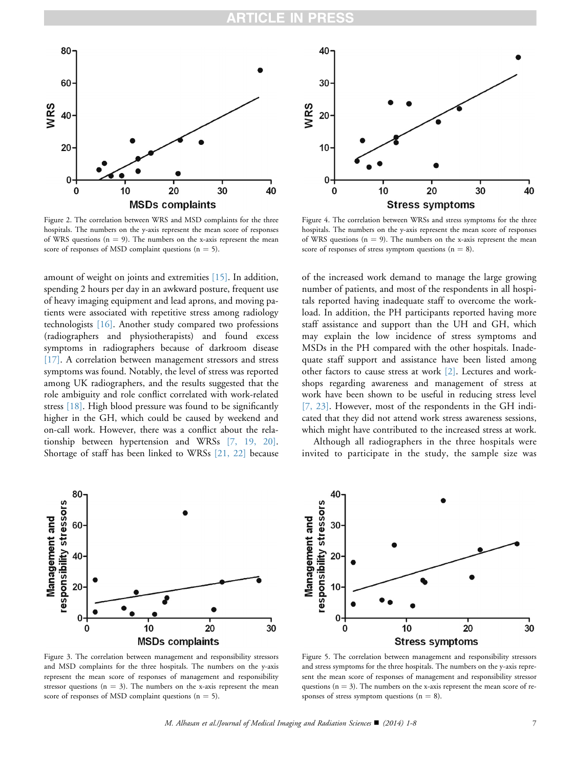<span id="page-6-0"></span>

Figure 2. The correlation between WRS and MSD complaints for the three hospitals. The numbers on the y-axis represent the mean score of responses of WRS questions ( $n = 9$ ). The numbers on the x-axis represent the mean score of responses of MSD complaint questions  $(n = 5)$ .

amount of weight on joints and extremities [\[15\]](#page-7-0). In addition, spending 2 hours per day in an awkward posture, frequent use of heavy imaging equipment and lead aprons, and moving patients were associated with repetitive stress among radiology technologists [\[16\]](#page-7-0). Another study compared two professions (radiographers and physiotherapists) and found excess symptoms in radiographers because of darkroom disease [\[17\]](#page-7-0). A correlation between management stressors and stress symptoms was found. Notably, the level of stress was reported among UK radiographers, and the results suggested that the role ambiguity and role conflict correlated with work-related stress [\[18\]](#page-7-0). High blood pressure was found to be significantly higher in the GH, which could be caused by weekend and on-call work. However, there was a conflict about the relationship between hypertension and WRSs [\[7, 19, 20\]](#page-7-0). Shortage of staff has been linked to WRSs [\[21, 22\]](#page-7-0) because



Figure 3. The correlation between management and responsibility stressors and MSD complaints for the three hospitals. The numbers on the y-axis represent the mean score of responses of management and responsibility stressor questions  $(n = 3)$ . The numbers on the x-axis represent the mean score of responses of MSD complaint questions  $(n = 5)$ .



Figure 4. The correlation between WRSs and stress symptoms for the three hospitals. The numbers on the y-axis represent the mean score of responses of WRS questions ( $n = 9$ ). The numbers on the x-axis represent the mean score of responses of stress symptom questions  $(n = 8)$ .

of the increased work demand to manage the large growing number of patients, and most of the respondents in all hospitals reported having inadequate staff to overcome the workload. In addition, the PH participants reported having more staff assistance and support than the UH and GH, which may explain the low incidence of stress symptoms and MSDs in the PH compared with the other hospitals. Inadequate staff support and assistance have been listed among other factors to cause stress at work [\[2\].](#page-7-0) Lectures and workshops regarding awareness and management of stress at work have been shown to be useful in reducing stress level [\[7, 23\]](#page-7-0). However, most of the respondents in the GH indicated that they did not attend work stress awareness sessions, which might have contributed to the increased stress at work.

Although all radiographers in the three hospitals were invited to participate in the study, the sample size was



Figure 5. The correlation between management and responsibility stressors and stress symptoms for the three hospitals. The numbers on the y-axis represent the mean score of responses of management and responsibility stressor questions  $(n = 3)$ . The numbers on the x-axis represent the mean score of responses of stress symptom questions  $(n = 8)$ .